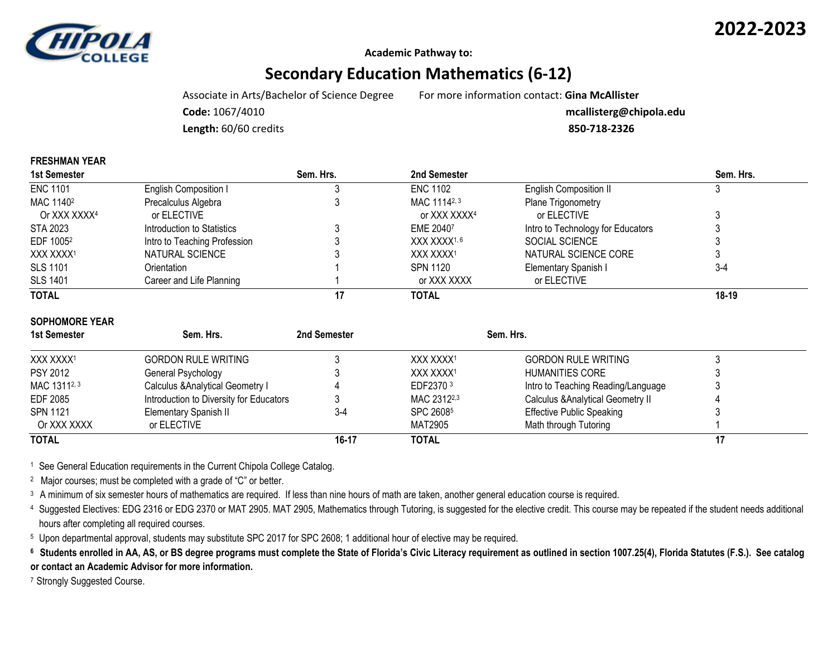



**FRESHMAN YEAR**

**Academic Pathway to:**

# **Secondary Education Mathematics (6-12)**

Associate in Arts/Bachelor of Science Degree For more information contact: **Gina McAllister**

**Code:** 1067/4010 **mcallisterg@chipola.edu**

**Length:** 60/60 credits **850-718-2326**

| 1st Semester          |                              | Sem. Hrs. | 2nd Semester             |                                   | Sem. Hrs. |
|-----------------------|------------------------------|-----------|--------------------------|-----------------------------------|-----------|
| <b>ENC 1101</b>       | English Composition I        |           | <b>ENC 1102</b>          | <b>English Composition II</b>     |           |
| MAC 1140 <sup>2</sup> | Precalculus Algebra          |           | MAC 11142, 3             | Plane Trigonometry                |           |
| Or XXX XXXX4          | or ELECTIVE                  |           | or XXX XXXX <sup>4</sup> | or ELECTIVE                       |           |
| STA 2023              | Introduction to Statistics   |           | EME 20407                | Intro to Technology for Educators |           |
| EDF 1005 <sup>2</sup> | Intro to Teaching Profession |           | XXX XXXX <sup>1, 6</sup> | SOCIAL SCIENCE                    |           |
| XXX XXXX1             | NATURAL SCIENCE              |           | XXX XXXX1                | NATURAL SCIENCE CORE              |           |
| <b>SLS 1101</b>       | Orientation                  |           | <b>SPN 1120</b>          | Elementary Spanish I              | $3-4$     |
| <b>SLS 1401</b>       | Career and Life Planning     |           | or XXX XXXX              | or ELECTIVE                       |           |
| <b>TOTAL</b>          |                              | 17        | TOTAL                    |                                   | $18 - 19$ |

| 0011000000<br>1st Semester | Sem. Hrs.                               | 2nd Semester | Sem. Hrs.               |                                              |  |  |
|----------------------------|-----------------------------------------|--------------|-------------------------|----------------------------------------------|--|--|
| XXX XXXX1                  | <b>GORDON RULE WRITING</b>              |              | XXX XXXX1               | <b>GORDON RULE WRITING</b>                   |  |  |
| <b>PSY 2012</b>            | General Psychology                      |              | XXX XXXX1               | <b>HUMANITIES CORE</b>                       |  |  |
| MAC 13112, 3               | Calculus & Analytical Geometry I        |              | EDF2370 3               | Intro to Teaching Reading/Language           |  |  |
| <b>EDF 2085</b>            | Introduction to Diversity for Educators |              | MAC 2312 <sup>2,3</sup> | <b>Calculus &amp; Analytical Geometry II</b> |  |  |
| SPN 1121                   | Elementary Spanish II                   | $3 - 4$      | SPC 26085               | <b>Effective Public Speaking</b>             |  |  |
| Or XXX XXXX                | or ELECTIVE                             |              | MAT2905                 | Math through Tutoring                        |  |  |
| <b>TOTAL</b>               |                                         | 16-17        | <b>TOTAL</b>            |                                              |  |  |

<sup>1</sup> See General Education requirements in the Current Chipola College Catalog.

2 Major courses; must be completed with a grade of "C" or better.

<sup>3</sup> A minimum of six semester hours of mathematics are required. If less than nine hours of math are taken, another general education course is required.

<sup>4</sup> Suggested Electives: EDG 2316 or EDG 2370 or MAT 2905. MAT 2905, Mathematics through Tutoring, is suggested for the elective credit. This course may be repeated if the student needs additional hours after completing all required courses.

<sup>5</sup> Upon departmental approval, students may substitute SPC 2017 for SPC 2608; 1 additional hour of elective may be required.

<sup>6</sup> Students enrolled in AA, AS, or BS degree programs must complete the State of Florida's Civic Literacy requirement as outlined in section 1007.25(4), Florida Statutes (F.S.). See catalog **or contact an Academic Advisor for more information.**

7 Strongly Suggested Course.